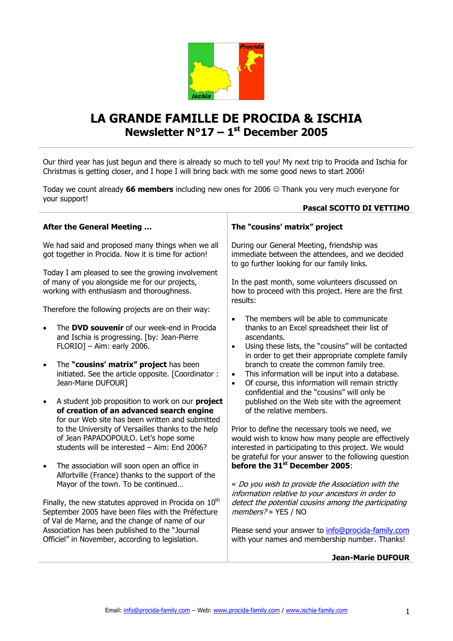

## **LA GRANDE FAMILLE DE PROCIDA & ISCHIA Newsletter N°17 – 1 st December 2005**

Our third year has just begun and there is already so much to tell you! My next trip to Procida and Ischia for Christmas is getting closer, and I hope I will bring back with me some good news to start 2006!

Today we count already **66 members** including new ones for 2006 Thank you very much everyone for your support!

| Pascal SCOTTO DI VETTIMO                                                                                                                                        |                                                                                                                                                                                                                                             |
|-----------------------------------------------------------------------------------------------------------------------------------------------------------------|---------------------------------------------------------------------------------------------------------------------------------------------------------------------------------------------------------------------------------------------|
| <b>After the General Meeting </b>                                                                                                                               | The "cousins' matrix" project                                                                                                                                                                                                               |
| We had said and proposed many things when we all<br>got together in Procida. Now it is time for action!                                                         | During our General Meeting, friendship was<br>immediate between the attendees, and we decided<br>to go further looking for our family links.                                                                                                |
| Today I am pleased to see the growing involvement<br>of many of you alongside me for our projects,<br>working with enthusiasm and thoroughness.                 | In the past month, some volunteers discussed on<br>how to proceed with this project. Here are the first<br>results:                                                                                                                         |
| Therefore the following projects are on their way:                                                                                                              |                                                                                                                                                                                                                                             |
| The DVD souvenir of our week-end in Procida<br>$\bullet$<br>and Ischia is progressing. [by: Jean-Pierre<br>$FLORIO$ - Aim: early 2006.                          | The members will be able to communicate<br>$\bullet$<br>thanks to an Excel spreadsheet their list of<br>ascendants.<br>Using these lists, the "cousins" will be contacted<br>$\bullet$<br>in order to get their appropriate complete family |
| The "cousins' matrix" project has been<br>$\bullet$<br>initiated. See the article opposite. [Coordinator :<br>Jean-Marie DUFOUR]                                | branch to create the common family tree.<br>This information will be input into a database.<br>$\bullet$<br>Of course, this information will remain strictly<br>$\bullet$<br>confidential and the "cousins" will only be                    |
| A student job proposition to work on our project<br>$\bullet$<br>of creation of an advanced search engine<br>for our Web site has been written and submitted    | published on the Web site with the agreement<br>of the relative members.                                                                                                                                                                    |
| to the University of Versailles thanks to the help<br>of Jean PAPADOPOULO. Let's hope some<br>students will be interested - Aim: End 2006?                      | Prior to define the necessary tools we need, we<br>would wish to know how many people are effectively<br>interested in participating to this project. We would<br>be grateful for your answer to the following question                     |
| The association will soon open an office in<br>$\bullet$<br>Alfortville (France) thanks to the support of the                                                   | before the 31 <sup>st</sup> December 2005:                                                                                                                                                                                                  |
| Mayor of the town. To be continued                                                                                                                              | « Do you wish to provide the Association with the<br>information relative to your ancestors in order to                                                                                                                                     |
| Finally, the new statutes approved in Procida on $10th$<br>September 2005 have been files with the Préfecture<br>of Val de Marne, and the change of name of our | detect the potential cousins among the participating<br>members?» YES / NO                                                                                                                                                                  |
| Association has been published to the "Journal<br>Officiel" in November, according to legislation.                                                              | Please send your answer to info@procida-family.com<br>with your names and membership number. Thanks!                                                                                                                                        |
|                                                                                                                                                                 |                                                                                                                                                                                                                                             |

## **Jean-Marie DUFOUR**